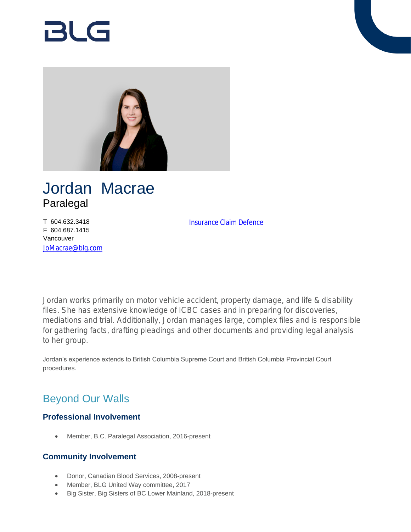# RI G



## Jordan Macrae Paralegal

T 604.632.3418 F 604.687.1415 Vancouver [JoMacrae@blg.com](mailto:JoMacrae@blg.com) [Insurance Claim Defence](https://www.blg.com/en/services/practice-areas/disputes/insurance-claim-defence)

Jordan works primarily on motor vehicle accident, property damage, and life & disability files. She has extensive knowledge of ICBC cases and in preparing for discoveries, mediations and trial. Additionally, Jordan manages large, complex files and is responsible for gathering facts, drafting pleadings and other documents and providing legal analysis to her group.

Jordan's experience extends to British Columbia Supreme Court and British Columbia Provincial Court procedures.

## Beyond Our Walls

### **Professional Involvement**

Member, B.C. Paralegal Association, 2016-present

#### **Community Involvement**

- Donor, Canadian Blood Services, 2008-present
- Member, BLG United Way committee, 2017
- Big Sister, Big Sisters of BC Lower Mainland, 2018-present